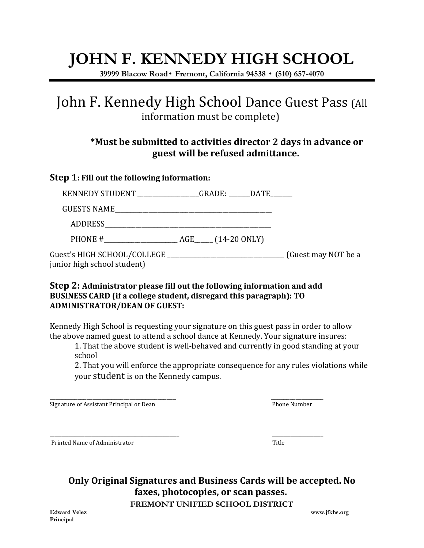# **JOHN F. KENNEDY HIGH SCHOOL**

**39999 Blacow Road**• **Fremont, California 94538** • **(510) 657-4070**

## John F. Kennedy High School Dance Guest Pass (All information must be complete)

### **\*Must be submitted to activities director 2 days in advance or guest will be refused admittance.**

#### **Step 1: Fill out the following information:**

| KENNEDY STUDENT _____________GRADE: _____DATE_____ |  |                     |
|----------------------------------------------------|--|---------------------|
|                                                    |  |                     |
| ADDRESS                                            |  |                     |
|                                                    |  |                     |
| junior high school student)                        |  | (Guest may NOT be a |

#### **Step 2: Administrator please fill out the following information and add BUSINESS CARD (if a college student, disregard this paragraph): TO ADMINISTRATOR/DEAN OF GUEST:**

Kennedy High School is requesting your signature on this guest pass in order to allow the above named guest to attend a school dance at Kennedy. Your signature insures:

1. That the above student is well-behaved and currently in good standing at your school

2. That you will enforce the appropriate consequence for any rules violations while your student is on the Kennedy campus.

Signature of Assistant Principal or Dean Phone Number Phone Number

\_\_\_\_\_\_\_\_\_\_\_\_\_\_\_\_\_\_\_\_\_\_\_\_\_\_\_\_\_\_\_\_\_\_\_\_\_\_\_\_\_\_\_\_\_\_\_\_\_\_\_\_\_\_\_\_ \_\_\_\_\_\_\_\_\_\_\_\_\_\_\_\_\_\_\_\_\_\_ Printed Name of Administrator Title

**Only Original Signatures and Business Cards will be accepted. No faxes, photocopies, or scan passes.**

**FREMONT UNIFIED SCHOOL DISTRICT Edward Velez www.jfkhs.org**